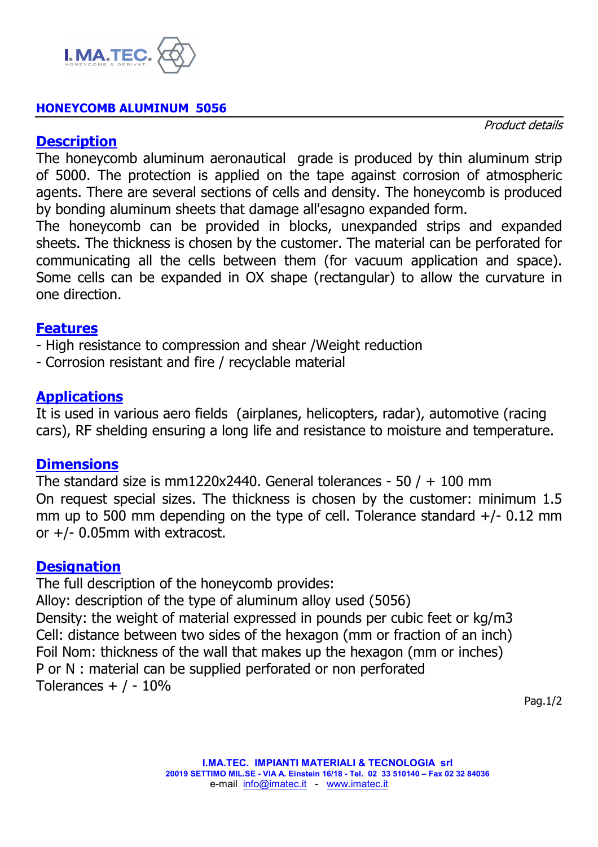

#### **HONEYCOMB ALUMINUM 5056**

Product details

#### **Description**

The honeycomb aluminum aeronautical grade is produced by thin aluminum strip of 5000. The protection is applied on the tape against corrosion of atmospheric agents. There are several sections of cells and density. The honeycomb is produced by bonding aluminum sheets that damage all'esagno expanded form.

The honeycomb can be provided in blocks, unexpanded strips and expanded sheets. The thickness is chosen by the customer. The material can be perforated for communicating all the cells between them (for vacuum application and space). Some cells can be expanded in OX shape (rectangular) to allow the curvature in one direction.

## **Features**

- High resistance to compression and shear /Weight reduction

- Corrosion resistant and fire / recyclable material

## **Applications**

It is used in various aero fields (airplanes, helicopters, radar), automotive (racing cars), RF shelding ensuring a long life and resistance to moisture and temperature.

#### **Dimensions**

The standard size is mm1220x2440. General tolerances - 50  $/ + 100$  mm On request special sizes. The thickness is chosen by the customer: minimum 1.5 mm up to 500 mm depending on the type of cell. Tolerance standard  $+/- 0.12$  mm or +/- 0.05mm with extracost.

#### **Designation**

The full description of the honeycomb provides: Alloy: description of the type of aluminum alloy used (5056) Density: the weight of material expressed in pounds per cubic feet or kg/m3 Cell: distance between two sides of the hexagon (mm or fraction of an inch) Foil Nom: thickness of the wall that makes up the hexagon (mm or inches) P or N : material can be supplied perforated or non perforated Tolerances  $+$  / - 10%

Pag.1/2